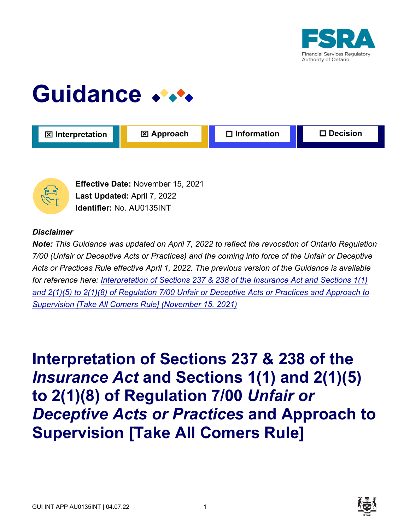

## Guidance \*\*\*





**Effective Date:** November 15, 2021 **Last Updated:** April 7, 2022 **Identifier:** No. AU0135INT

#### *Disclaimer*

*Note: This Guidance was updated on April 7, 2022 to reflect the revocation of Ontario Regulation 7/00 (Unfair or Deceptive Acts or Practices) and the coming into force of the Unfair or Deceptive Acts or Practices Rule effective April 1, 2022. The previous version of the Guidance is available for reference here: [Interpretation of Sections 237 & 238 of the Insurance Act and Sections 1\(1\)](https://www.fsrao.ca/industry/auto-insurance/regulatory-framework/guidance-auto-insurance/interpretation-sections-237-238-insurance-act-and-sections-11-and-215-218-regulation-700-unfair-or-deceptive-acts-or-practices-and-approach-supervision-take-all-comers-rule-november-15)  [and 2\(1\)\(5\) to 2\(1\)\(8\) of Regulation 7/00 Unfair or Deceptive Acts or Practices and Approach to](https://www.fsrao.ca/industry/auto-insurance/regulatory-framework/guidance-auto-insurance/interpretation-sections-237-238-insurance-act-and-sections-11-and-215-218-regulation-700-unfair-or-deceptive-acts-or-practices-and-approach-supervision-take-all-comers-rule-november-15)  [Supervision \[Take All Comers Rule\] \(November 15, 2021\)](https://www.fsrao.ca/industry/auto-insurance/regulatory-framework/guidance-auto-insurance/interpretation-sections-237-238-insurance-act-and-sections-11-and-215-218-regulation-700-unfair-or-deceptive-acts-or-practices-and-approach-supervision-take-all-comers-rule-november-15)*

**Interpretation of Sections 237 & 238 of the**  *Insurance Act* **and Sections 1(1) and 2(1)(5) to 2(1)(8) of Regulation 7/00** *Unfair or Deceptive Acts or Practices* **and Approach to Supervision [Take All Comers Rule]** 

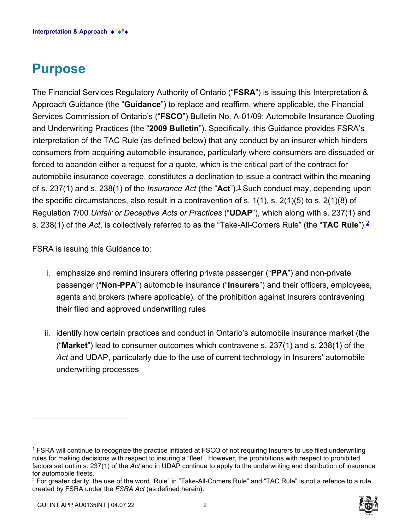## **Purpose**

The Financial Services Regulatory Authority of Ontario ("**FSRA**") is issuing this Interpretation & Approach Guidance (the "**Guidance**") to replace and reaffirm, where applicable, the Financial Services Commission of Ontario's ("**FSCO**") Bulletin No. A-01/09: Automobile Insurance Quoting and Underwriting Practices (the "**2009 Bulletin**"). Specifically, this Guidance provides FSRA's interpretation of the TAC Rule (as defined below) that any conduct by an insurer which hinders consumers from acquiring automobile insurance, particularly where consumers are dissuaded or forced to abandon either a request for a quote, which is the critical part of the contract for automobile insurance coverage, constitutes a declination to issue a contract within the meaning of s. 237(1) and s. 238(1) of the *Insurance Act* (the "**Act**").<sup>1</sup> Such conduct may, depending upon the specific circumstances, also result in a contravention of s. 1(1), s. 2(1)(5) to s. 2(1)(8) of Regulation 7/00 *Unfair or Deceptive Acts or Practices* ("**UDAP**"), which along with s. 237(1) and s. 238(1) of the *Act*, is collectively referred to as the "Take-All-Comers Rule" (the "**TAC Rule**").<sup>2</sup>

FSRA is issuing this Guidance to:

- i. emphasize and remind insurers offering private passenger ("**PPA**") and non-private passenger ("**Non-PPA**") automobile insurance ("**Insurers**") and their officers, employees, agents and brokers (where applicable), of the prohibition against Insurers contravening their filed and approved underwriting rules
- ii. identify how certain practices and conduct in Ontario's automobile insurance market (the ("**Market**") lead to consumer outcomes which contravene s. 237(1) and s. 238(1) of the *Act* and UDAP, particularly due to the use of current technology in Insurers' automobile underwriting processes

 $^2$  For greater clarity, the use of the word "Rule" in "Take-All-Comers Rule" and "TAC Rule" is not a refence to a rule created by FSRA under the *FSRA Act* (as defined herein).



<sup>&</sup>lt;sup>1</sup> FSRA will continue to recognize the practice initiated at FSCO of not requiring Insurers to use filed underwriting rules for making decisions with respect to insuring a "fleet". However, the prohibitions with respect to prohibited factors set out in s. 237(1) of the *Act* and in UDAP continue to apply to the underwriting and distribution of insurance for automobile fleets.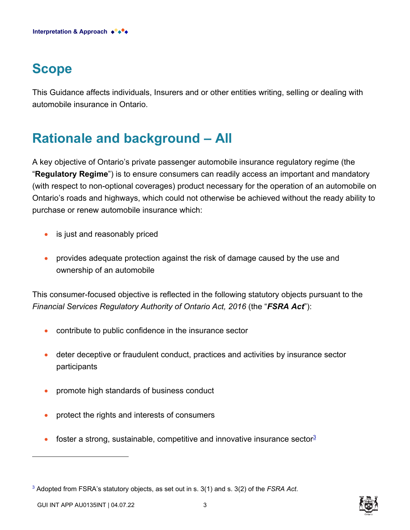## **Scope**

This Guidance affects individuals, Insurers and or other entities writing, selling or dealing with automobile insurance in Ontario.

## **Rationale and background – All**

A key objective of Ontario's private passenger automobile insurance regulatory regime (the "**Regulatory Regime**") is to ensure consumers can readily access an important and mandatory (with respect to non-optional coverages) product necessary for the operation of an automobile on Ontario's roads and highways, which could not otherwise be achieved without the ready ability to purchase or renew automobile insurance which:

- is just and reasonably priced
- provides adequate protection against the risk of damage caused by the use and ownership of an automobile

This consumer-focused objective is reflected in the following statutory objects pursuant to the *Financial Services Regulatory Authority of Ontario Act, 2016 (the "FSRA Act"):* 

- contribute to public confidence in the insurance sector
- deter deceptive or fraudulent conduct, practices and activities by insurance sector participants
- promote high standards of business conduct
- protect the rights and interests of consumers
- foster a strong, sustainable, competitive and innovative insurance sector  $3$

<sup>3</sup> Adopted from FSRA's statutory objects, as set out in s. 3(1) and s. 3(2) of the *FSRA Act*.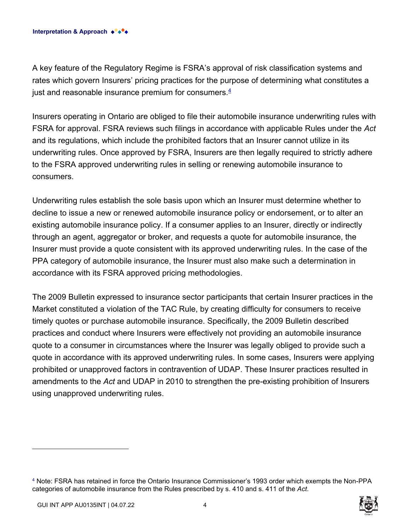A key feature of the Regulatory Regime is FSRA's approval of risk classification systems and rates which govern Insurers' pricing practices for the purpose of determining what constitutes a just and reasonable insurance premium for consumers. $4$ 

Insurers operating in Ontario are obliged to file their automobile insurance underwriting rules with FSRA for approval. FSRA reviews such filings in accordance with applicable Rules under the *Act* and its regulations, which include the prohibited factors that an Insurer cannot utilize in its underwriting rules. Once approved by FSRA, Insurers are then legally required to strictly adhere to the FSRA approved underwriting rules in selling or renewing automobile insurance to consumers.

Underwriting rules establish the sole basis upon which an Insurer must determine whether to decline to issue a new or renewed automobile insurance policy or endorsement, or to alter an existing automobile insurance policy. If a consumer applies to an Insurer, directly or indirectly through an agent, aggregator or broker, and requests a quote for automobile insurance, the Insurer must provide a quote consistent with its approved underwriting rules. In the case of the PPA category of automobile insurance, the Insurer must also make such a determination in accordance with its FSRA approved pricing methodologies.

The 2009 Bulletin expressed to insurance sector participants that certain Insurer practices in the Market constituted a violation of the TAC Rule, by creating difficulty for consumers to receive timely quotes or purchase automobile insurance. Specifically, the 2009 Bulletin described practices and conduct where Insurers were effectively not providing an automobile insurance quote to a consumer in circumstances where the Insurer was legally obliged to provide such a quote in accordance with its approved underwriting rules. In some cases, Insurers were applying prohibited or unapproved factors in contravention of UDAP. These Insurer practices resulted in amendments to the *Act* and UDAP in 2010 to strengthen the pre-existing prohibition of Insurers using unapproved underwriting rules.



<sup>4</sup> Note: FSRA has retained in force the Ontario Insurance Commissioner's 1993 order which exempts the Non-PPA categories of automobile insurance from the Rules prescribed by s. 410 and s. 411 of the *Act*.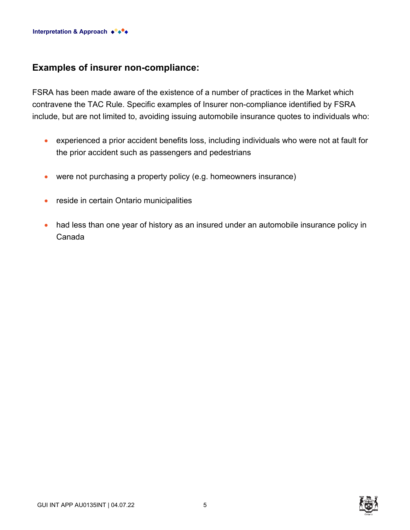#### **Examples of insurer non-compliance:**

FSRA has been made aware of the existence of a number of practices in the Market which contravene the TAC Rule. Specific examples of Insurer non-compliance identified by FSRA include, but are not limited to, avoiding issuing automobile insurance quotes to individuals who:

- experienced a prior accident benefits loss, including individuals who were not at fault for the prior accident such as passengers and pedestrians
- were not purchasing a property policy (e.g. homeowners insurance)
- reside in certain Ontario municipalities
- had less than one year of history as an insured under an automobile insurance policy in Canada



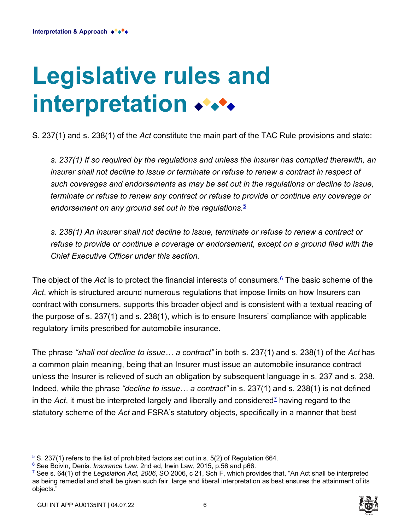# **Legislative rules and**  interpretation  $\rightarrow\rightarrow\rightarrow$

S. 237(1) and s. 238(1) of the *Act* constitute the main part of the TAC Rule provisions and state:

*s. 237(1) If so required by the regulations and unless the insurer has complied therewith, an insurer shall not decline to issue or terminate or refuse to renew a contract in respect of such coverages and endorsements as may be set out in the regulations or decline to issue, terminate or refuse to renew any contract or refuse to provide or continue any coverage or*  endorsement on any ground set out in the regulations.<sup>5</sup>

*s. 238(1) An insurer shall not decline to issue, terminate or refuse to renew a contract or refuse to provide or continue a coverage or endorsement, except on a ground filed with the Chief Executive Officer under this section.*

The object of the *Act* is to protect the financial interests of consumers.<sup>6</sup> The basic scheme of the *Act*, which is structured around numerous regulations that impose limits on how Insurers can contract with consumers, supports this broader object and is consistent with a textual reading of the purpose of s. 237(1) and s. 238(1), which is to ensure Insurers' compliance with applicable regulatory limits prescribed for automobile insurance.

The phrase *"shall not decline to issue… a contract"* in both s. 237(1) and s. 238(1) of the *Act* has a common plain meaning, being that an Insurer must issue an automobile insurance contract unless the Insurer is relieved of such an obligation by subsequent language in s. 237 and s. 238. Indeed, while the phrase *"decline to issue… a contract"* in s. 237(1) and s. 238(1) is not defined in the  $\bm{Act}$ , it must be interpreted largely and liberally and considered $^{\mathbb{Z}}$  having regard to the statutory scheme of the *Act* and FSRA's statutory objects, specifically in a manner that best



 $5$  S. 237(1) refers to the list of prohibited factors set out in s. 5(2) of Regulation 664.

<sup>6</sup> See Boivin, Denis. *Insurance Law*. 2nd ed, Irwin Law, 2015, p.56 and p66.

<sup>7</sup> See s. 64(1) of the *Legislation Act, 2006*, SO 2006, c 21, Sch F, which provides that, "An Act shall be interpreted as being remedial and shall be given such fair, large and liberal interpretation as best ensures the attainment of its objects."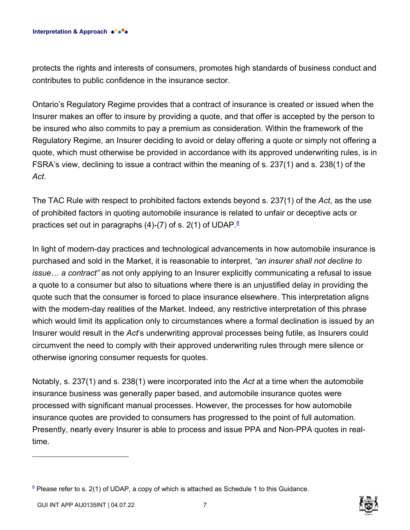protects the rights and interests of consumers, promotes high standards of business conduct and contributes to public confidence in the insurance sector.

Ontario's Regulatory Regime provides that a contract of insurance is created or issued when the Insurer makes an offer to insure by providing a quote, and that offer is accepted by the person to be insured who also commits to pay a premium as consideration. Within the framework of the Regulatory Regime, an Insurer deciding to avoid or delay offering a quote or simply not offering a quote, which must otherwise be provided in accordance with its approved underwriting rules, is in FSRA's view, declining to issue a contract within the meaning of s. 237(1) and s. 238(1) of the *Act*.

The TAC Rule with respect to prohibited factors extends beyond s. 237(1) of the *Act*, as the use of prohibited factors in quoting automobile insurance is related to unfair or deceptive acts or practices set out in paragraphs (4)-(7) of s. 2(1) of UDAP. $\frac{8}{3}$ 

In light of modern-day practices and technological advancements in how automobile insurance is purchased and sold in the Market, it is reasonable to interpret, *"an insurer shall not decline to issue… a contract"* as not only applying to an Insurer explicitly communicating a refusal to issue a quote to a consumer but also to situations where there is an unjustified delay in providing the quote such that the consumer is forced to place insurance elsewhere. This interpretation aligns with the modern-day realities of the Market. Indeed, any restrictive interpretation of this phrase which would limit its application only to circumstances where a formal declination is issued by an Insurer would result in the *Act*'s underwriting approval processes being futile, as Insurers could circumvent the need to comply with their approved underwriting rules through mere silence or otherwise ignoring consumer requests for quotes.

Notably, s. 237(1) and s. 238(1) were incorporated into the *Act* at a time when the automobile insurance business was generally paper based, and automobile insurance quotes were processed with significant manual processes. However, the processes for how automobile insurance quotes are provided to consumers has progressed to the point of full automation. Presently, nearly every Insurer is able to process and issue PPA and Non-PPA quotes in realtime.

 $8$  Please refer to s. 2(1) of UDAP, a copy of which is attached as Schedule 1 to this Guidance.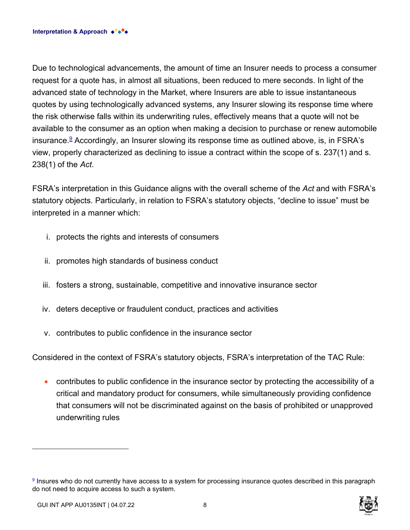Due to technological advancements, the amount of time an Insurer needs to process a consumer request for a quote has, in almost all situations, been reduced to mere seconds. In light of the advanced state of technology in the Market, where Insurers are able to issue instantaneous quotes by using technologically advanced systems, any Insurer slowing its response time where the risk otherwise falls within its underwriting rules, effectively means that a quote will not be available to the consumer as an option when making a decision to purchase or renew automobile insurance.<sup>g</sup> Accordingly, an Insurer slowing its response time as outlined above, is, in FSRA's view, properly characterized as declining to issue a contract within the scope of s. 237(1) and s. 238(1) of the *Act*.

FSRA's interpretation in this Guidance aligns with the overall scheme of the *Act* and with FSRA's statutory objects. Particularly, in relation to FSRA's statutory objects, "decline to issue" must be interpreted in a manner which:

- i. protects the rights and interests of consumers
- ii. promotes high standards of business conduct
- iii. fosters a strong, sustainable, competitive and innovative insurance sector
- iv. deters deceptive or fraudulent conduct, practices and activities
- v. contributes to public confidence in the insurance sector

Considered in the context of FSRA's statutory objects, FSRA's interpretation of the TAC Rule:

• contributes to public confidence in the insurance sector by protecting the accessibility of a critical and mandatory product for consumers, while simultaneously providing confidence that consumers will not be discriminated against on the basis of prohibited or unapproved underwriting rules

 $9$  Insures who do not currently have access to a system for processing insurance quotes described in this paragraph do not need to acquire access to such a system.

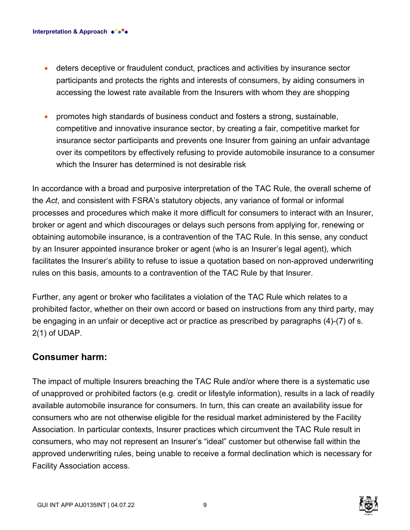- deters deceptive or fraudulent conduct, practices and activities by insurance sector participants and protects the rights and interests of consumers, by aiding consumers in accessing the lowest rate available from the Insurers with whom they are shopping
- promotes high standards of business conduct and fosters a strong, sustainable, competitive and innovative insurance sector, by creating a fair, competitive market for insurance sector participants and prevents one Insurer from gaining an unfair advantage over its competitors by effectively refusing to provide automobile insurance to a consumer which the Insurer has determined is not desirable risk

In accordance with a broad and purposive interpretation of the TAC Rule, the overall scheme of the *Act*, and consistent with FSRA's statutory objects, any variance of formal or informal processes and procedures which make it more difficult for consumers to interact with an Insurer, broker or agent and which discourages or delays such persons from applying for, renewing or obtaining automobile insurance, is a contravention of the TAC Rule. In this sense, any conduct by an Insurer appointed insurance broker or agent (who is an Insurer's legal agent), which facilitates the Insurer's ability to refuse to issue a quotation based on non-approved underwriting rules on this basis, amounts to a contravention of the TAC Rule by that Insurer.

Further, any agent or broker who facilitates a violation of the TAC Rule which relates to a prohibited factor, whether on their own accord or based on instructions from any third party, may be engaging in an unfair or deceptive act or practice as prescribed by paragraphs (4)-(7) of s. 2(1) of UDAP.

#### **Consumer harm:**

The impact of multiple Insurers breaching the TAC Rule and/or where there is a systematic use of unapproved or prohibited factors (e.g. credit or lifestyle information), results in a lack of readily available automobile insurance for consumers. In turn, this can create an availability issue for consumers who are not otherwise eligible for the residual market administered by the Facility Association. In particular contexts, Insurer practices which circumvent the TAC Rule result in consumers, who may not represent an Insurer's "ideal" customer but otherwise fall within the approved underwriting rules, being unable to receive a formal declination which is necessary for Facility Association access.

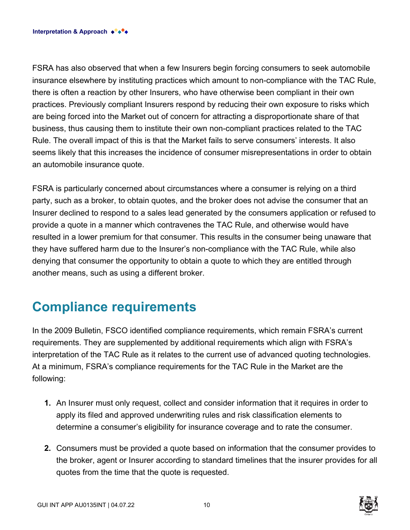FSRA has also observed that when a few Insurers begin forcing consumers to seek automobile insurance elsewhere by instituting practices which amount to non-compliance with the TAC Rule, there is often a reaction by other Insurers, who have otherwise been compliant in their own practices. Previously compliant Insurers respond by reducing their own exposure to risks which are being forced into the Market out of concern for attracting a disproportionate share of that business, thus causing them to institute their own non-compliant practices related to the TAC Rule. The overall impact of this is that the Market fails to serve consumers' interests. It also seems likely that this increases the incidence of consumer misrepresentations in order to obtain an automobile insurance quote.

FSRA is particularly concerned about circumstances where a consumer is relying on a third party, such as a broker, to obtain quotes, and the broker does not advise the consumer that an Insurer declined to respond to a sales lead generated by the consumers application or refused to provide a quote in a manner which contravenes the TAC Rule, and otherwise would have resulted in a lower premium for that consumer. This results in the consumer being unaware that they have suffered harm due to the Insurer's non-compliance with the TAC Rule, while also denying that consumer the opportunity to obtain a quote to which they are entitled through another means, such as using a different broker.

## **Compliance requirements**

In the 2009 Bulletin, FSCO identified compliance requirements, which remain FSRA's current requirements. They are supplemented by additional requirements which align with FSRA's interpretation of the TAC Rule as it relates to the current use of advanced quoting technologies. At a minimum, FSRA's compliance requirements for the TAC Rule in the Market are the following:

- **1.** An Insurer must only request, collect and consider information that it requires in order to apply its filed and approved underwriting rules and risk classification elements to determine a consumer's eligibility for insurance coverage and to rate the consumer.
- **2.** Consumers must be provided a quote based on information that the consumer provides to the broker, agent or Insurer according to standard timelines that the insurer provides for all quotes from the time that the quote is requested.

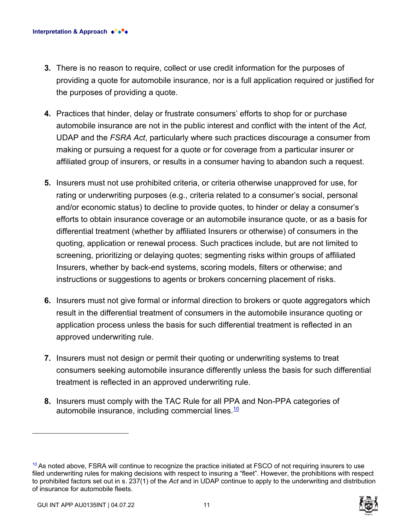- **3.** There is no reason to require, collect or use credit information for the purposes of providing a quote for automobile insurance, nor is a full application required or justified for the purposes of providing a quote.
- **4.** Practices that hinder, delay or frustrate consumers' efforts to shop for or purchase automobile insurance are not in the public interest and conflict with the intent of the *Act,*  UDAP and the *FSRA Act*, particularly where such practices discourage a consumer from making or pursuing a request for a quote or for coverage from a particular insurer or affiliated group of insurers, or results in a consumer having to abandon such a request.
- **5.** Insurers must not use prohibited criteria, or criteria otherwise unapproved for use, for rating or underwriting purposes (e.g., criteria related to a consumer's social, personal and/or economic status) to decline to provide quotes, to hinder or delay a consumer's efforts to obtain insurance coverage or an automobile insurance quote, or as a basis for differential treatment (whether by affiliated Insurers or otherwise) of consumers in the quoting, application or renewal process. Such practices include, but are not limited to screening, prioritizing or delaying quotes; segmenting risks within groups of affiliated Insurers, whether by back-end systems, scoring models, filters or otherwise; and instructions or suggestions to agents or brokers concerning placement of risks.
- **6.** Insurers must not give formal or informal direction to brokers or quote aggregators which result in the differential treatment of consumers in the automobile insurance quoting or application process unless the basis for such differential treatment is reflected in an approved underwriting rule.
- **7.** Insurers must not design or permit their quoting or underwriting systems to treat consumers seeking automobile insurance differently unless the basis for such differential treatment is reflected in an approved underwriting rule.
- **8.** Insurers must comply with the TAC Rule for all PPA and Non-PPA categories of automobile insurance, including commercial lines.<sup>10</sup>

 $10$  As noted above, FSRA will continue to recognize the practice initiated at FSCO of not requiring insurers to use filed underwriting rules for making decisions with respect to insuring a "fleet". However, the prohibitions with respect to prohibited factors set out in s. 237(1) of the *Act* and in UDAP continue to apply to the underwriting and distribution of insurance for automobile fleets.

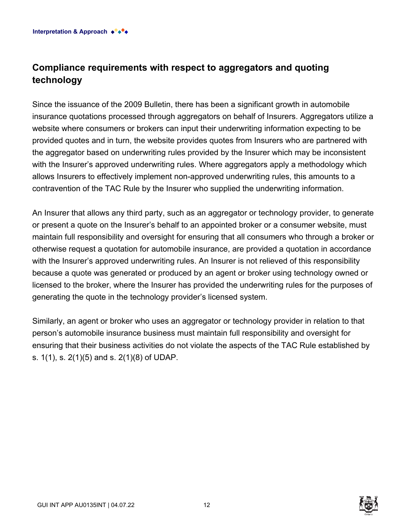#### **Compliance requirements with respect to aggregators and quoting technology**

Since the issuance of the 2009 Bulletin, there has been a significant growth in automobile insurance quotations processed through aggregators on behalf of Insurers. Aggregators utilize a website where consumers or brokers can input their underwriting information expecting to be provided quotes and in turn, the website provides quotes from Insurers who are partnered with the aggregator based on underwriting rules provided by the Insurer which may be inconsistent with the Insurer's approved underwriting rules. Where aggregators apply a methodology which allows Insurers to effectively implement non-approved underwriting rules, this amounts to a contravention of the TAC Rule by the Insurer who supplied the underwriting information.

An Insurer that allows any third party, such as an aggregator or technology provider, to generate or present a quote on the Insurer's behalf to an appointed broker or a consumer website, must maintain full responsibility and oversight for ensuring that all consumers who through a broker or otherwise request a quotation for automobile insurance, are provided a quotation in accordance with the Insurer's approved underwriting rules. An Insurer is not relieved of this responsibility because a quote was generated or produced by an agent or broker using technology owned or licensed to the broker, where the Insurer has provided the underwriting rules for the purposes of generating the quote in the technology provider's licensed system.

Similarly, an agent or broker who uses an aggregator or technology provider in relation to that person's automobile insurance business must maintain full responsibility and oversight for ensuring that their business activities do not violate the aspects of the TAC Rule established by s. 1(1), s. 2(1)(5) and s. 2(1)(8) of UDAP.

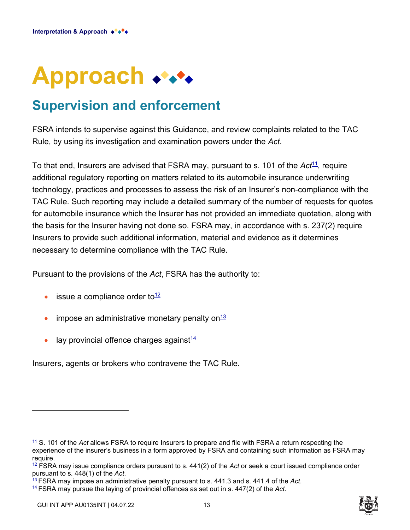## **Approach**

## **Supervision and enforcement**

FSRA intends to supervise against this Guidance, and review complaints related to the TAC Rule, by using its investigation and examination powers under the *Act*.

To that end, Insurers are advised that FSRA may, pursuant to s. 101 of the Act<sup>11</sup>, require additional regulatory reporting on matters related to its automobile insurance underwriting technology, practices and processes to assess the risk of an Insurer's non-compliance with the TAC Rule. Such reporting may include a detailed summary of the number of requests for quotes for automobile insurance which the Insurer has not provided an immediate quotation, along with the basis for the Insurer having not done so. FSRA may, in accordance with s. 237(2) require Insurers to provide such additional information, material and evidence as it determines necessary to determine compliance with the TAC Rule.

Pursuant to the provisions of the *Act*, FSRA has the authority to:

- issue a compliance order to $\frac{12}{1}$
- impose an administrative monetary penalty on $\frac{13}{2}$
- lay provincial offence charges against $14$

Insurers, agents or brokers who contravene the TAC Rule.

<sup>11</sup> S. 101 of the *Act* allows FSRA to require Insurers to prepare and file with FSRA a return respecting the experience of the insurer's business in a form approved by FSRA and containing such information as FSRA may require.

<sup>12</sup> FSRA may issue compliance orders pursuant to s. 441(2) of the *Act* or seek a court issued compliance order pursuant to s. 448(1) of the *Act*.

<sup>13</sup> FSRA may impose an administrative penalty pursuant to s. 441.3 and s. 441.4 of the *Act*.

<sup>14</sup> FSRA may pursue the laying of provincial offences as set out in s. 447(2) of the *Act*.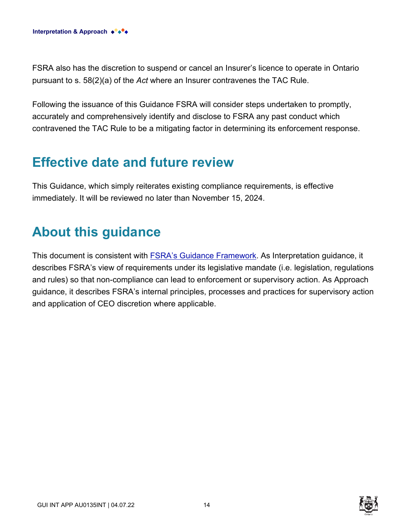FSRA also has the discretion to suspend or cancel an Insurer's licence to operate in Ontario pursuant to s. 58(2)(a) of the *Act* where an Insurer contravenes the TAC Rule.

Following the issuance of this Guidance FSRA will consider steps undertaken to promptly, accurately and comprehensively identify and disclose to FSRA any past conduct which contravened the TAC Rule to be a mitigating factor in determining its enforcement response.

### **Effective date and future review**

This Guidance, which simply reiterates existing compliance requirements, is effective immediately. It will be reviewed no later than November 15, 2024.

## **About this guidance**

This document is consistent with [FSRA's Guidance Framework.](https://www.fsrao.ca/regulation/guidance/fsra-guidance-framework) As Interpretation guidance, it describes FSRA's view of requirements under its legislative mandate (i.e. legislation, regulations and rules) so that non-compliance can lead to enforcement or supervisory action. As Approach guidance, it describes FSRA's internal principles, processes and practices for supervisory action and application of CEO discretion where applicable.

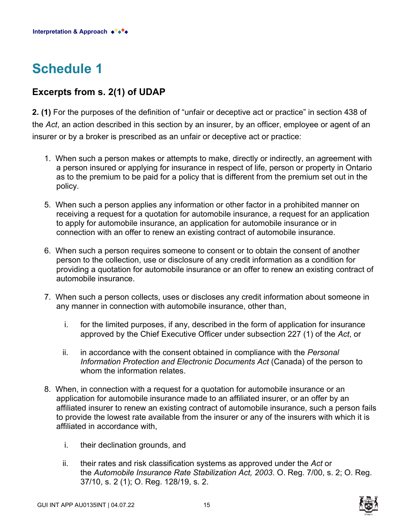## **Schedule 1**

#### **Excerpts from s. 2(1) of UDAP**

**2. (1)** For the purposes of the definition of "unfair or deceptive act or practice" in section 438 of the *Act*, an action described in this section by an insurer, by an officer, employee or agent of an insurer or by a broker is prescribed as an unfair or deceptive act or practice:

- 1. When such a person makes or attempts to make, directly or indirectly, an agreement with a person insured or applying for insurance in respect of life, person or property in Ontario as to the premium to be paid for a policy that is different from the premium set out in the policy.
- 5. When such a person applies any information or other factor in a prohibited manner on receiving a request for a quotation for automobile insurance, a request for an application to apply for automobile insurance, an application for automobile insurance or in connection with an offer to renew an existing contract of automobile insurance.
- 6. When such a person requires someone to consent or to obtain the consent of another person to the collection, use or disclosure of any credit information as a condition for providing a quotation for automobile insurance or an offer to renew an existing contract of automobile insurance.
- 7. When such a person collects, uses or discloses any credit information about someone in any manner in connection with automobile insurance, other than,
	- i. for the limited purposes, if any, described in the form of application for insurance approved by the Chief Executive Officer under subsection 227 (1) of the *Act*, or
	- ii. in accordance with the consent obtained in compliance with the *Personal Information Protection and Electronic Documents Act* (Canada) of the person to whom the information relates.
- 8. When, in connection with a request for a quotation for automobile insurance or an application for automobile insurance made to an affiliated insurer, or an offer by an affiliated insurer to renew an existing contract of automobile insurance, such a person fails to provide the lowest rate available from the insurer or any of the insurers with which it is affiliated in accordance with,
	- i. their declination grounds, and
	- ii. their rates and risk classification systems as approved under the *Act* or the *Automobile Insurance Rate Stabilization Act, 2003*. O. Reg. 7/00, s. 2; O. Reg. 37/10, s. 2 (1); O. Reg. 128/19, s. 2.